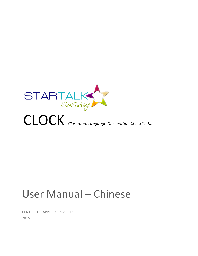

# CLOCK *Classroom Language Observation Checklist Kit*

## User Manual – Chinese

CENTER FOR APPLIED LINGUISTICS 2015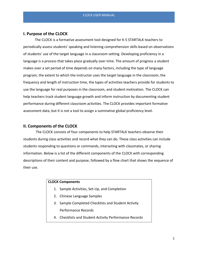#### **I. Purpose of the CLOCK**

The CLOCK is a formative assessment tool designed for K-5 STARTALK teachers to periodically assess students' speaking and listening comprehension skills based on observations of students' use of the target language in a classroom setting. Developing proficiency in a language is a process that takes place gradually over time. The amount of progress a student makes over a set period of time depends on many factors, including the type of language program, the extent to which the instructor uses the target language in the classroom, the frequency and length of instruction time, the types of activities teachers provide for students to use the language for real purposes in the classroom, and student motivation. The CLOCK can help teachers track student language growth and inform instruction by documenting student performance during different classroom activities. The CLOCK provides important formative assessment data, but it is not a tool to assign a summative global proficiency level.

#### **II. Components of the CLOCK**

The CLOCK consists of four components to help STARTALK teachers observe their students during class activities and record what they can do. These class activities can include students responding to questions or commands, interacting with classmates, or sharing information. Below is a list of the different components of the CLOCK with corresponding descriptions of their content and purpose, followed by a flow chart that shows the sequence of their use.

#### **CLOCK Components**

- 1. Sample Activities, Set-Up, and Completion
- 2. Chinese Language Samples
- 3. Sample Completed Checklists and Student Activity Performance Records
- 4. Checklists and Student Activity Performance Records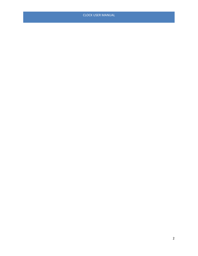#### CLOCK USER MANUAL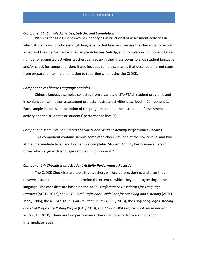#### *Component 1: Sample Activities, Set-Up, and Completion*

Planning for assessment involves identifying instructional or assessment activities in which students will produce enough language so that teachers can use the checklists to record aspects of their performance. The Sample Activities, Set-Up, and Completion component lists a number of suggested activities teachers can set up in their classrooms to elicit student language and/or check for comprehension. It also includes sample scenarios that describe different steps from preparation to implementation to reporting when using the CLOCK.

#### *Component 2: Chinese Language Samples*

Chinese language samples collected from a variety of STARTALK student programs and in conjunction with other assessment projects illustrate activities described in Component 1. Each sample includes a description of the program context, the instructional/assessment activity and the student's or students' performance level(s).

#### *Component 3: Sample Completed Checklists and Student Activity Performance Record***s**

This component contains sample completed checklists (one at the novice level and two at the intermediate level) and two sample completed Student Activity Performance Record forms which align with language samples in Component 2.

#### *Component 4: Checklists and Student Activity Performance Record***s**

The CLOCK Checklists are tools that teachers will use before, during, and after they observe a student or students to determine the extent to which they are progressing in the language. The checklists are based on the *ACTFL Performance Descriptors for Language Learners* (ACTFL 2012), the *ACTFL Oral Proficiency Guidelines for Speaking and Listening* (ACTFL 1999, 1986), the *NCSSFL-ACTFL Can-Do Statements* (ACTFL, 2013), the *Early Language Listening and Oral Proficiency Rating Profile* (CAL, 2010), and *COPE/SOPA Proficiency Assessment Rating Scale* (CAL, 2010). There are two performance checklists: one for Novice and one for Intermediate levels.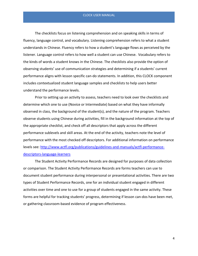#### CLOCK USER MANUAL

The checklists focus on listening comprehension and on speaking skills in terms of fluency, language control, and vocabulary. Listening comprehension refers to what a student understands in Chinese. Fluency refers to how a student's language flows as perceived by the listener. Language control refers to how well a student can use Chinese. Vocabulary refers to the kinds of words a student knows in the Chinese. The checklists also provide the option of observing students' use of communication strategies and determining if a students' current performance aligns with lesson specific can-do statements. In addition, this CLOCK component includes contextualized student language samples and checklists to help users better understand the performance levels.

Prior to setting up an activity to assess, teachers need to look over the checklists and determine which one to use (Novice or Intermediate) based on what they have informally observed in class, the background of the student(s), and the nature of the program. Teachers observe students using Chinese during activities, fill in the background information at the top of the appropriate checklist, and check off all descriptors that apply across the different performance sublevels and skill areas. At the end of the activity, teachers note the level of performance with the most checked off descriptors. For additional information on performance levels see: [http://www.actfl.org/publications/guidelines-and-manuals/actfl-performance](http://www.actfl.org/publications/guidelines-and-manuals/actfl-performance-descriptors-language-learners)[descriptors-language-learners](http://www.actfl.org/publications/guidelines-and-manuals/actfl-performance-descriptors-language-learners)

The Student Activity Performance Records are designed for purposes of data collection or comparison. The Student Activity Performance Records are forms teachers can use to document student performance during interpersonal or presentational activities. There are two types of Student Performance Records, one for an individual student engaged in different activities over time and one to use for a group of students engaged in the same activity. These forms are helpful for tracking students' progress, determining if lesson can-dos have been met, or gathering classroom-based evidence of program effectiveness.

4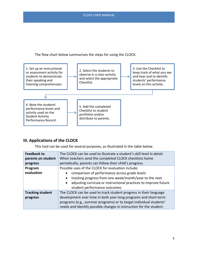The flow chart below summarizes the steps for using the CLOCK:



### **III. Applications of the CLOCK**

This tool can be used for several purposes, as illustrated in the table below.

| <b>Feedback to</b>      | The CLOCK can be used to illustrate a student's skill level in detail.        |
|-------------------------|-------------------------------------------------------------------------------|
| parents on student      | When teachers send the completed CLOCK checklists home                        |
| progress                | periodically, parents can follow their child's progress.                      |
| Program                 | Possible uses of the CLOCK for evaluation include:                            |
| evaluation              | comparison of performance across grade levels                                 |
|                         | tracking progress from one week/month/year to the next<br>$\bullet$           |
|                         | adjusting curricula or instructional practices to improve future<br>$\bullet$ |
|                         | student performance outcomes                                                  |
| <b>Tracking student</b> | The CLOCK can be used to track student progress in their language             |
| progress                | development over time in both year-long programs and short-term               |
|                         | programs (e.g., summer programs) or to target individual students'            |
|                         | needs and identify possible changes in instruction for the student.           |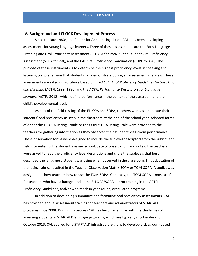#### **IV. Background and CLOCK Development Process**

Since the late 1980s, the Center for Applied Linguistics (CAL) has been developing assessments for young language learners. Three of these assessments are the Early Language Listening and Oral Proficiency Assessment (ELLOPA for PreK-2), the Student Oral Proficiency Assessment (SOPA for 2-8), and the CAL Oral Proficiency Examination (COPE for 6-8). The purpose of these instruments is to determine the highest proficiency levels in speaking and listening comprehension that students can demonstrate during an assessment interview. These assessments are rated using rubrics based on the *ACTFL Oral Proficiency Guidelines for Speaking and Listening* (ACTFL 1999, 1986) and the *ACTFL Performance Descriptors for Language Learners* (ACTFL 2012), which define performance in the context of the classroom and the child's developmental level.

As part of the field testing of the ELLOPA and SOPA, teachers were asked to rate their students' oral proficiency as seen in the classroom at the end of the school year. Adapted forms of either the ELLOPA Rating Profile or the COPE/SOPA Rating Scale were provided to the teachers for gathering information as they observed their students' classroom performance. These observation forms were designed to include the sublevel descriptors from the rubrics and fields for entering the student's name, school, date of observation, and notes. The teachers were asked to read the proficiency level descriptions and circle the sublevels that best described the language a student was using when observed in the classroom. This adaptation of the rating rubrics resulted in the Teacher Observation Matrix-SOPA or TOM-SOPA. A toolkit was designed to show teachers how to use the TOM-SOPA. Generally, the TOM-SOPA is most useful for teachers who have a background in the ELLOPA/SOPA and/or training in the ACTFL Proficiency Guidelines, and/or who teach in year-round, articulated programs.

In addition to developing summative and formative oral proficiency assessments, CAL has provided annual assessment training for teachers and administrators of STARTALK programs since 2008. During this process CAL has become familiar with the challenges of assessing students in STARTALK language programs, which are typically short in duration. In October 2013, CAL applied for a STARTALK infrastructure grant to develop a classroom-based